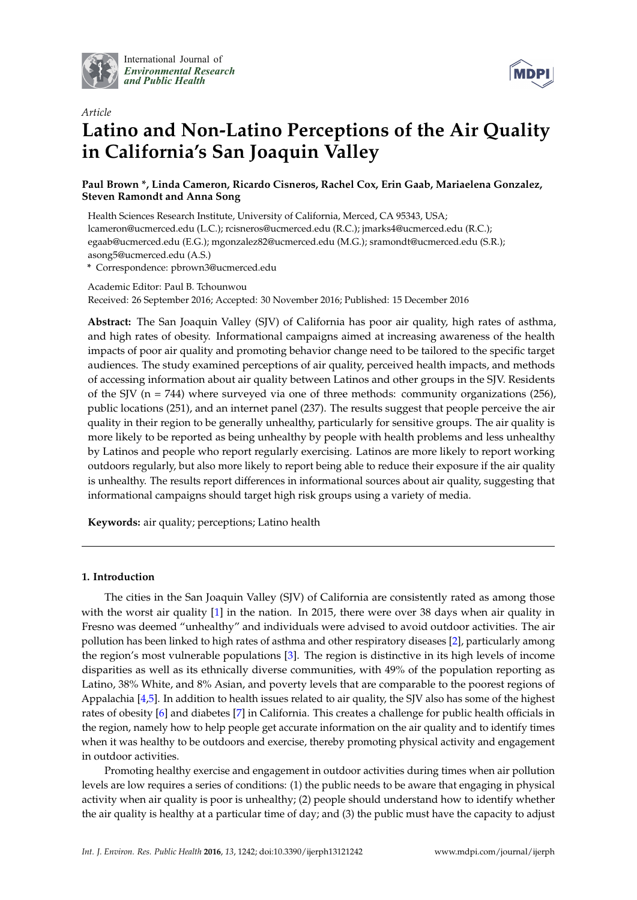

International Journal of *[Environmental Research](http://www.mdpi.com/journal/ijerph) and Public Health*



# *Article* **Latino and Non-Latino Perceptions of the Air Quality in California's San Joaquin Valley**

**Paul Brown \*, Linda Cameron, Ricardo Cisneros, Rachel Cox, Erin Gaab, Mariaelena Gonzalez, Steven Ramondt and Anna Song**

Health Sciences Research Institute, University of California, Merced, CA 95343, USA; lcameron@ucmerced.edu (L.C.); rcisneros@ucmerced.edu (R.C.); jmarks4@ucmerced.edu (R.C.); egaab@ucmerced.edu (E.G.); mgonzalez82@ucmerced.edu (M.G.); sramondt@ucmerced.edu (S.R.); asong5@ucmerced.edu (A.S.)

**\*** Correspondence: pbrown3@ucmerced.edu

Academic Editor: Paul B. Tchounwou Received: 26 September 2016; Accepted: 30 November 2016; Published: 15 December 2016

**Abstract:** The San Joaquin Valley (SJV) of California has poor air quality, high rates of asthma, and high rates of obesity. Informational campaigns aimed at increasing awareness of the health impacts of poor air quality and promoting behavior change need to be tailored to the specific target audiences. The study examined perceptions of air quality, perceived health impacts, and methods of accessing information about air quality between Latinos and other groups in the SJV. Residents of the SJV ( $n = 744$ ) where surveyed via one of three methods: community organizations (256), public locations (251), and an internet panel (237). The results suggest that people perceive the air quality in their region to be generally unhealthy, particularly for sensitive groups. The air quality is more likely to be reported as being unhealthy by people with health problems and less unhealthy by Latinos and people who report regularly exercising. Latinos are more likely to report working outdoors regularly, but also more likely to report being able to reduce their exposure if the air quality is unhealthy. The results report differences in informational sources about air quality, suggesting that informational campaigns should target high risk groups using a variety of media.

**Keywords:** air quality; perceptions; Latino health

# **1. Introduction**

The cities in the San Joaquin Valley (SJV) of California are consistently rated as among those with the worst air quality [\[1\]](#page-8-0) in the nation. In 2015, there were over 38 days when air quality in Fresno was deemed "unhealthy" and individuals were advised to avoid outdoor activities. The air pollution has been linked to high rates of asthma and other respiratory diseases [\[2\]](#page-8-1), particularly among the region's most vulnerable populations [\[3\]](#page-8-2). The region is distinctive in its high levels of income disparities as well as its ethnically diverse communities, with 49% of the population reporting as Latino, 38% White, and 8% Asian, and poverty levels that are comparable to the poorest regions of Appalachia [\[4,](#page-8-3)[5\]](#page-8-4). In addition to health issues related to air quality, the SJV also has some of the highest rates of obesity [\[6\]](#page-8-5) and diabetes [\[7\]](#page-8-6) in California. This creates a challenge for public health officials in the region, namely how to help people get accurate information on the air quality and to identify times when it was healthy to be outdoors and exercise, thereby promoting physical activity and engagement in outdoor activities.

Promoting healthy exercise and engagement in outdoor activities during times when air pollution levels are low requires a series of conditions: (1) the public needs to be aware that engaging in physical activity when air quality is poor is unhealthy; (2) people should understand how to identify whether the air quality is healthy at a particular time of day; and (3) the public must have the capacity to adjust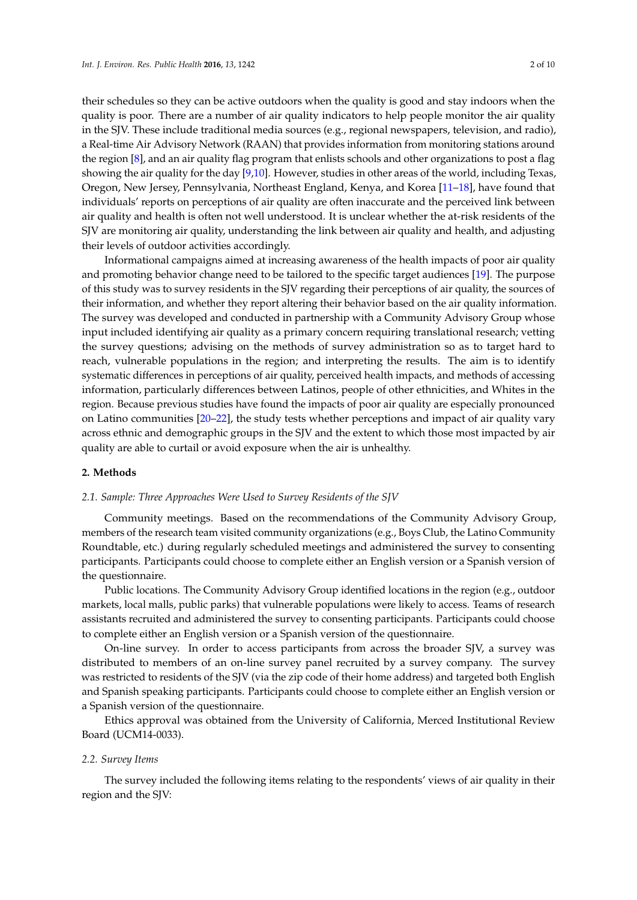their schedules so they can be active outdoors when the quality is good and stay indoors when the quality is poor. There are a number of air quality indicators to help people monitor the air quality in the SJV. These include traditional media sources (e.g., regional newspapers, television, and radio), a Real-time Air Advisory Network (RAAN) that provides information from monitoring stations around the region [\[8\]](#page-8-7), and an air quality flag program that enlists schools and other organizations to post a flag showing the air quality for the day [\[9](#page-8-8)[,10\]](#page-8-9). However, studies in other areas of the world, including Texas, Oregon, New Jersey, Pennsylvania, Northeast England, Kenya, and Korea [\[11–](#page-8-10)[18\]](#page-9-0), have found that individuals' reports on perceptions of air quality are often inaccurate and the perceived link between air quality and health is often not well understood. It is unclear whether the at-risk residents of the SJV are monitoring air quality, understanding the link between air quality and health, and adjusting their levels of outdoor activities accordingly.

Informational campaigns aimed at increasing awareness of the health impacts of poor air quality and promoting behavior change need to be tailored to the specific target audiences [\[19\]](#page-9-1). The purpose of this study was to survey residents in the SJV regarding their perceptions of air quality, the sources of their information, and whether they report altering their behavior based on the air quality information. The survey was developed and conducted in partnership with a Community Advisory Group whose input included identifying air quality as a primary concern requiring translational research; vetting the survey questions; advising on the methods of survey administration so as to target hard to reach, vulnerable populations in the region; and interpreting the results. The aim is to identify systematic differences in perceptions of air quality, perceived health impacts, and methods of accessing information, particularly differences between Latinos, people of other ethnicities, and Whites in the region. Because previous studies have found the impacts of poor air quality are especially pronounced on Latino communities [\[20](#page-9-2)[–22\]](#page-9-3), the study tests whether perceptions and impact of air quality vary across ethnic and demographic groups in the SJV and the extent to which those most impacted by air quality are able to curtail or avoid exposure when the air is unhealthy.

## **2. Methods**

#### *2.1. Sample: Three Approaches Were Used to Survey Residents of the SJV*

Community meetings. Based on the recommendations of the Community Advisory Group, members of the research team visited community organizations (e.g., Boys Club, the Latino Community Roundtable, etc.) during regularly scheduled meetings and administered the survey to consenting participants. Participants could choose to complete either an English version or a Spanish version of the questionnaire.

Public locations. The Community Advisory Group identified locations in the region (e.g., outdoor markets, local malls, public parks) that vulnerable populations were likely to access. Teams of research assistants recruited and administered the survey to consenting participants. Participants could choose to complete either an English version or a Spanish version of the questionnaire.

On-line survey. In order to access participants from across the broader SJV, a survey was distributed to members of an on-line survey panel recruited by a survey company. The survey was restricted to residents of the SJV (via the zip code of their home address) and targeted both English and Spanish speaking participants. Participants could choose to complete either an English version or a Spanish version of the questionnaire.

Ethics approval was obtained from the University of California, Merced Institutional Review Board (UCM14-0033).

#### *2.2. Survey Items*

The survey included the following items relating to the respondents' views of air quality in their region and the SJV: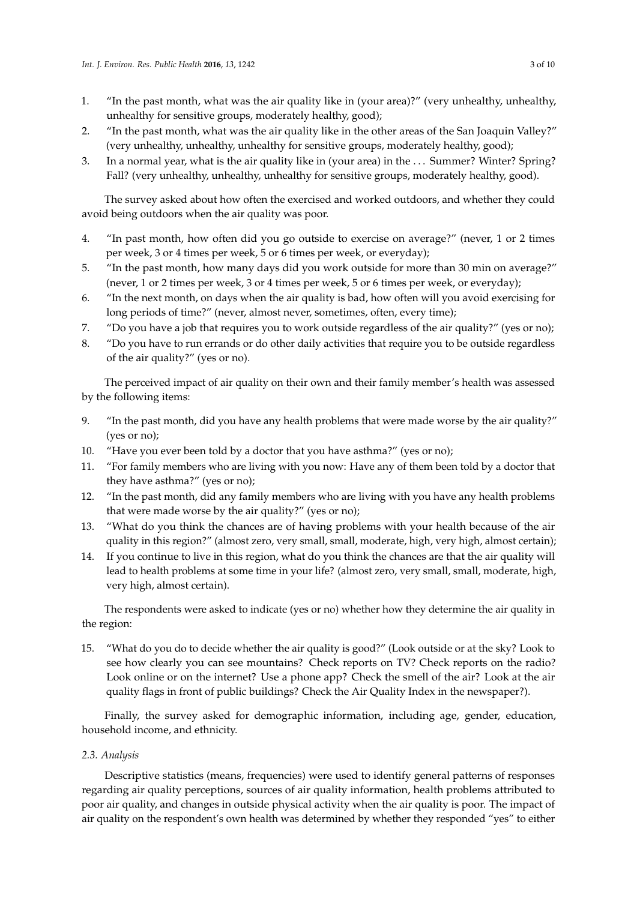- 1. "In the past month, what was the air quality like in (your area)?" (very unhealthy, unhealthy, unhealthy for sensitive groups, moderately healthy, good);
- 2. "In the past month, what was the air quality like in the other areas of the San Joaquin Valley?" (very unhealthy, unhealthy, unhealthy for sensitive groups, moderately healthy, good);
- 3. In a normal year, what is the air quality like in (your area) in the . . . Summer? Winter? Spring? Fall? (very unhealthy, unhealthy, unhealthy for sensitive groups, moderately healthy, good).

The survey asked about how often the exercised and worked outdoors, and whether they could avoid being outdoors when the air quality was poor.

- 4. "In past month, how often did you go outside to exercise on average?" (never, 1 or 2 times per week, 3 or 4 times per week, 5 or 6 times per week, or everyday);
- 5. "In the past month, how many days did you work outside for more than 30 min on average?" (never, 1 or 2 times per week, 3 or 4 times per week, 5 or 6 times per week, or everyday);
- 6. "In the next month, on days when the air quality is bad, how often will you avoid exercising for long periods of time?" (never, almost never, sometimes, often, every time);
- 7. "Do you have a job that requires you to work outside regardless of the air quality?" (yes or no);
- 8. "Do you have to run errands or do other daily activities that require you to be outside regardless of the air quality?" (yes or no).

The perceived impact of air quality on their own and their family member's health was assessed by the following items:

- 9. "In the past month, did you have any health problems that were made worse by the air quality?" (yes or no);
- 10. "Have you ever been told by a doctor that you have asthma?" (yes or no);
- 11. "For family members who are living with you now: Have any of them been told by a doctor that they have asthma?" (yes or no);
- 12. "In the past month, did any family members who are living with you have any health problems that were made worse by the air quality?" (yes or no);
- 13. "What do you think the chances are of having problems with your health because of the air quality in this region?" (almost zero, very small, small, moderate, high, very high, almost certain);
- 14. If you continue to live in this region, what do you think the chances are that the air quality will lead to health problems at some time in your life? (almost zero, very small, small, moderate, high, very high, almost certain).

The respondents were asked to indicate (yes or no) whether how they determine the air quality in the region:

15. "What do you do to decide whether the air quality is good?" (Look outside or at the sky? Look to see how clearly you can see mountains? Check reports on TV? Check reports on the radio? Look online or on the internet? Use a phone app? Check the smell of the air? Look at the air quality flags in front of public buildings? Check the Air Quality Index in the newspaper?).

Finally, the survey asked for demographic information, including age, gender, education, household income, and ethnicity.

# *2.3. Analysis*

Descriptive statistics (means, frequencies) were used to identify general patterns of responses regarding air quality perceptions, sources of air quality information, health problems attributed to poor air quality, and changes in outside physical activity when the air quality is poor. The impact of air quality on the respondent's own health was determined by whether they responded "yes" to either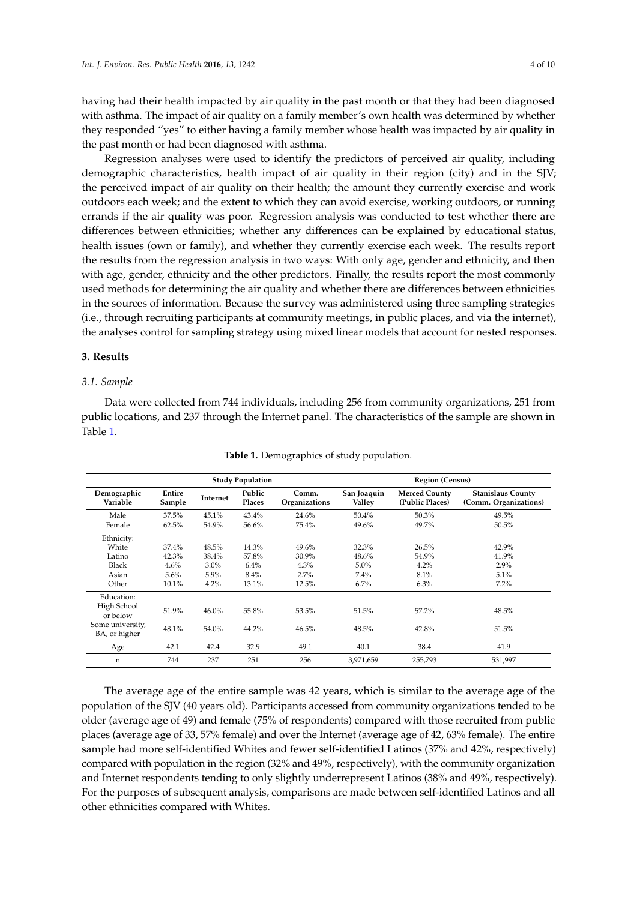having had their health impacted by air quality in the past month or that they had been diagnosed with asthma. The impact of air quality on a family member's own health was determined by whether they responded "yes" to either having a family member whose health was impacted by air quality in the past month or had been diagnosed with asthma.

Regression analyses were used to identify the predictors of perceived air quality, including demographic characteristics, health impact of air quality in their region (city) and in the SJV; the perceived impact of air quality on their health; the amount they currently exercise and work outdoors each week; and the extent to which they can avoid exercise, working outdoors, or running errands if the air quality was poor. Regression analysis was conducted to test whether there are differences between ethnicities; whether any differences can be explained by educational status, health issues (own or family), and whether they currently exercise each week. The results report the results from the regression analysis in two ways: With only age, gender and ethnicity, and then with age, gender, ethnicity and the other predictors. Finally, the results report the most commonly used methods for determining the air quality and whether there are differences between ethnicities in the sources of information. Because the survey was administered using three sampling strategies (i.e., through recruiting participants at community meetings, in public places, and via the internet), the analyses control for sampling strategy using mixed linear models that account for nested responses.

# **3. Results**

## *3.1. Sample*

Data were collected from 744 individuals, including 256 from community organizations, 251 from public locations, and 237 through the Internet panel. The characteristics of the sample are shown in Table [1.](#page-3-0)

<span id="page-3-0"></span>

| <b>Study Population</b>                                   |                  |                 |                  | <b>Region (Census)</b> |                       |                                         |                                                   |
|-----------------------------------------------------------|------------------|-----------------|------------------|------------------------|-----------------------|-----------------------------------------|---------------------------------------------------|
| Demographic<br>Variable                                   | Entire<br>Sample | <b>Internet</b> | Public<br>Places | Comm.<br>Organizations | San Joaquin<br>Valley | <b>Merced County</b><br>(Public Places) | <b>Stanislaus County</b><br>(Comm. Organizations) |
| Male                                                      | 37.5%            | 45.1%           | 43.4%            | 24.6%                  | 50.4%                 | 50.3%                                   | 49.5%                                             |
| Female                                                    | 62.5%            | 54.9%           | 56.6%            | 75.4%                  | 49.6%                 | 49.7%                                   | 50.5%                                             |
| Ethnicity:                                                |                  |                 |                  |                        |                       |                                         |                                                   |
| White                                                     | 37.4%            | 48.5%           | 14.3%            | 49.6%                  | 32.3%                 | 26.5%                                   | 42.9%                                             |
| Latino                                                    | 42.3%            | 38.4%           | 57.8%            | 30.9%                  | 48.6%                 | 54.9%                                   | 41.9%                                             |
| Black                                                     | 4.6%             | $3.0\%$         | 6.4%             | 4.3%                   | 5.0%                  | 4.2%                                    | 2.9%                                              |
| Asian                                                     | 5.6%             | 5.9%            | 8.4%             | 2.7%                   | 7.4%                  | 8.1%                                    | 5.1%                                              |
| Other                                                     | 10.1%            | 4.2%            | 13.1%            | 12.5%                  | 6.7%                  | 6.3%                                    | 7.2%                                              |
| Education:<br>High School<br>or below<br>Some university, | 51.9%            | 46.0%           | 55.8%            | 53.5%                  | 51.5%                 | 57.2%                                   | 48.5%                                             |
| BA, or higher                                             | 48.1%            | 54.0%           | 44.2%            | 46.5%                  | 48.5%                 | 42.8%                                   | 51.5%                                             |
| Age                                                       | 42.1             | 42.4            | 32.9             | 49.1                   | 40.1                  | 38.4                                    | 41.9                                              |
| n                                                         | 744              | 237             | 251              | 256                    | 3,971,659             | 255,793                                 | 531,997                                           |

**Table 1.** Demographics of study population.

The average age of the entire sample was 42 years, which is similar to the average age of the population of the SJV (40 years old). Participants accessed from community organizations tended to be older (average age of 49) and female (75% of respondents) compared with those recruited from public places (average age of 33, 57% female) and over the Internet (average age of 42, 63% female). The entire sample had more self-identified Whites and fewer self-identified Latinos (37% and 42%, respectively) compared with population in the region (32% and 49%, respectively), with the community organization and Internet respondents tending to only slightly underrepresent Latinos (38% and 49%, respectively). For the purposes of subsequent analysis, comparisons are made between self-identified Latinos and all other ethnicities compared with Whites.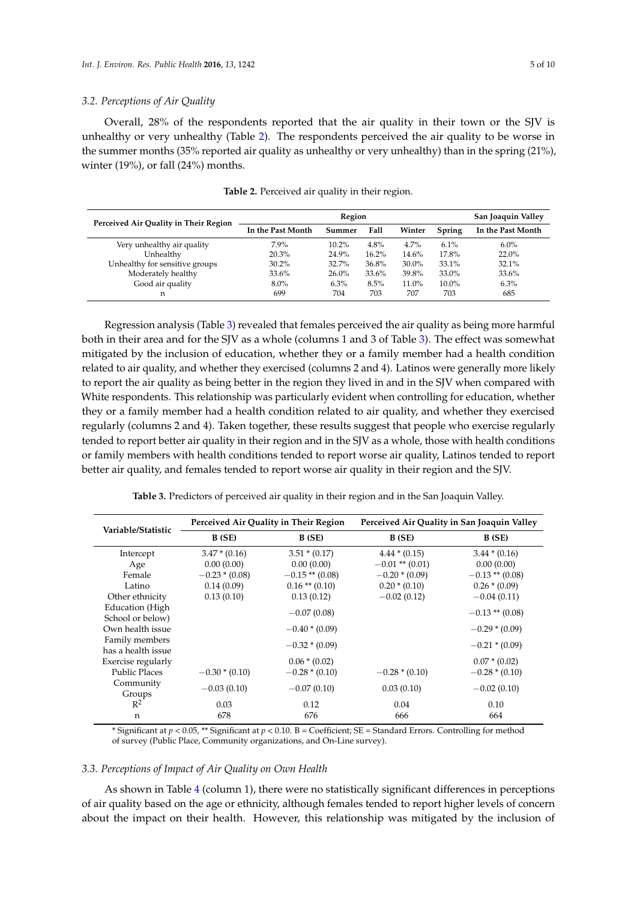#### *3.2. Perceptions of Air Quality*

Overall, 28% of the respondents reported that the air quality in their town or the SJV is unhealthy or very unhealthy (Table [2\)](#page-4-0). The respondents perceived the air quality to be worse in the summer months (35% reported air quality as unhealthy or very unhealthy) than in the spring (21%), winter (19%), or fall (24%) months.

<span id="page-4-0"></span>

| Perceived Air Quality in Their Region |                   | San Joaquin Valley |       |          |          |                   |
|---------------------------------------|-------------------|--------------------|-------|----------|----------|-------------------|
|                                       | In the Past Month | Summer             | Fall  | Winter   | Spring   | In the Past Month |
| Very unhealthy air quality            | 7.9%              | $10.2\%$           | 4.8%  | 4.7%     | $6.1\%$  | $6.0\%$           |
| Unhealthy                             | 20.3%             | 24.9%              | 16.2% | 14.6%    | 17.8%    | 22.0%             |
| Unhealthy for sensitive groups        | 30.2%             | 32.7%              | 36.8% | $30.0\%$ | 33.1%    | 32.1%             |
| Moderately healthy                    | 33.6%             | $26.0\%$           | 33.6% | 39.8%    | 33.0%    | 33.6%             |
| Good air quality                      | $8.0\%$           | 6.3%               | 8.5%  | 11.0%    | $10.0\%$ | 6.3%              |
| n                                     | 699               | 704                | 703   | 707      | 703      | 685               |

**Table 2.** Perceived air quality in their region.

Regression analysis (Table [3\)](#page-4-1) revealed that females perceived the air quality as being more harmful both in their area and for the SJV as a whole (columns 1 and 3 of Table [3\)](#page-4-1). The effect was somewhat mitigated by the inclusion of education, whether they or a family member had a health condition related to air quality, and whether they exercised (columns 2 and 4). Latinos were generally more likely to report the air quality as being better in the region they lived in and in the SJV when compared with White respondents. This relationship was particularly evident when controlling for education, whether they or a family member had a health condition related to air quality, and whether they exercised regularly (columns 2 and 4). Taken together, these results suggest that people who exercise regularly tended to report better air quality in their region and in the SJV as a whole, those with health conditions or family members with health conditions tended to report worse air quality, Latinos tended to report better air quality, and females tended to report worse air quality in their region and the SJV.

<span id="page-4-1"></span>

| Variable/Statistic                   |                 | Perceived Air Quality in Their Region | Perceived Air Quality in San Joaquin Valley |                   |  |  |
|--------------------------------------|-----------------|---------------------------------------|---------------------------------------------|-------------------|--|--|
|                                      | B(SE)           | B (SE)                                | B(SE)                                       | B(SE)             |  |  |
| Intercept                            | $3.47 * (0.16)$ | $3.51 * (0.17)$                       | $4.44*(0.15)$                               | $3.44*(0.16)$     |  |  |
| Age                                  | 0.00(0.00)      | 0.00(0.00)                            | $-0.01$ ** $(0.01)$                         | 0.00(0.00)        |  |  |
| Female                               | $-0.23*(0.08)$  | $-0.15**$ (0.08)                      | $-0.20*(0.09)$                              | $-0.13$ ** (0.08) |  |  |
| Latino                               | 0.14(0.09)      | $0.16$ ** $(0.10)$                    | $0.20 * (0.10)$                             | $0.26 * (0.09)$   |  |  |
| Other ethnicity                      | 0.13(0.10)      | 0.13(0.12)                            | $-0.02(0.12)$                               | $-0.04(0.11)$     |  |  |
| Education (High<br>School or below)  |                 | $-0.07(0.08)$                         |                                             | $-0.13$ ** (0.08) |  |  |
| Own health issue                     |                 | $-0.40*(0.09)$                        |                                             | $-0.29*(0.09)$    |  |  |
| Family members<br>has a health issue |                 | $-0.32*(0.09)$                        |                                             | $-0.21 * (0.09)$  |  |  |
| Exercise regularly                   |                 | $0.06 * (0.02)$                       |                                             | $0.07 * (0.02)$   |  |  |
| <b>Public Places</b>                 | $-0.30*(0.10)$  | $-0.28*(0.10)$                        | $-0.28*(0.10)$                              | $-0.28*(0.10)$    |  |  |
| Community<br>Groups                  | $-0.03(0.10)$   | $-0.07(0.10)$                         | 0.03(0.10)                                  | $-0.02(0.10)$     |  |  |
| $R^2$                                | 0.03            | 0.12                                  | 0.04                                        | 0.10              |  |  |
| n                                    | 678             | 676                                   | 666                                         | 664               |  |  |

**Table 3.** Predictors of perceived air quality in their region and in the San Joaquin Valley.

\* Significant at *p* < 0.05, \*\* Significant at *p* < 0.10. B = Coefficient; SE = Standard Errors. Controlling for method of survey (Public Place, Community organizations, and On-Line survey).

#### *3.3. Perceptions of Impact of Air Quality on Own Health*

As shown in Table [4](#page-5-0) (column 1), there were no statistically significant differences in perceptions of air quality based on the age or ethnicity, although females tended to report higher levels of concern about the impact on their health. However, this relationship was mitigated by the inclusion of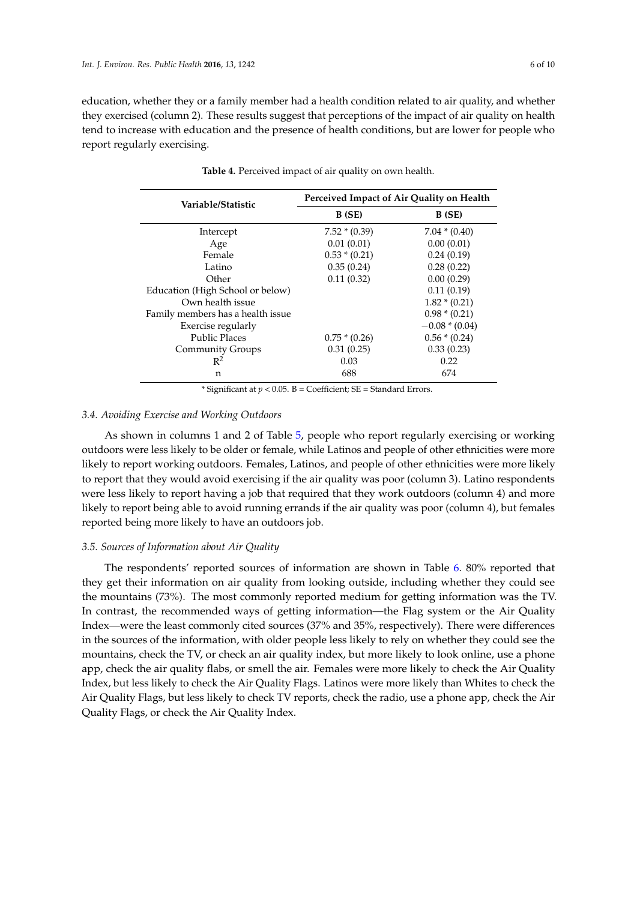<span id="page-5-0"></span>education, whether they or a family member had a health condition related to air quality, and whether they exercised (column 2). These results suggest that perceptions of the impact of air quality on health tend to increase with education and the presence of health conditions, but are lower for people who report regularly exercising.

| Variable/Statistic                | Perceived Impact of Air Quality on Health |                 |  |  |  |  |
|-----------------------------------|-------------------------------------------|-----------------|--|--|--|--|
|                                   | B (SE)                                    | B (SE)          |  |  |  |  |
| Intercept                         | $7.52 * (0.39)$                           | $7.04*(0.40)$   |  |  |  |  |
| Age                               | 0.01(0.01)                                | 0.00(0.01)      |  |  |  |  |
| Female                            | $0.53 * (0.21)$                           | 0.24(0.19)      |  |  |  |  |
| Latino                            | 0.35(0.24)                                | 0.28(0.22)      |  |  |  |  |
| Other                             | 0.11(0.32)                                | 0.00(0.29)      |  |  |  |  |
| Education (High School or below)  |                                           | 0.11(0.19)      |  |  |  |  |
| Own health issue                  |                                           | $1.82 * (0.21)$ |  |  |  |  |
| Family members has a health issue |                                           | $0.98*(0.21)$   |  |  |  |  |
| Exercise regularly                |                                           | $-0.08*(0.04)$  |  |  |  |  |
| <b>Public Places</b>              | $0.75*(0.26)$                             | $0.56*(0.24)$   |  |  |  |  |
| Community Groups                  | 0.31(0.25)                                | 0.33(0.23)      |  |  |  |  |
| $R^2$                             | 0.03                                      | 0.22            |  |  |  |  |
| n                                 | 688                                       | 674             |  |  |  |  |

**Table 4.** Perceived impact of air quality on own health.

\* Significant at  $p < 0.05$ . B = Coefficient; SE = Standard Errors.

# *3.4. Avoiding Exercise and Working Outdoors*

As shown in columns 1 and 2 of Table [5,](#page-6-0) people who report regularly exercising or working outdoors were less likely to be older or female, while Latinos and people of other ethnicities were more likely to report working outdoors. Females, Latinos, and people of other ethnicities were more likely to report that they would avoid exercising if the air quality was poor (column 3). Latino respondents were less likely to report having a job that required that they work outdoors (column 4) and more likely to report being able to avoid running errands if the air quality was poor (column 4), but females reported being more likely to have an outdoors job.

# *3.5. Sources of Information about Air Quality*

The respondents' reported sources of information are shown in Table [6.](#page-6-1) 80% reported that they get their information on air quality from looking outside, including whether they could see the mountains (73%). The most commonly reported medium for getting information was the TV. In contrast, the recommended ways of getting information—the Flag system or the Air Quality Index—were the least commonly cited sources (37% and 35%, respectively). There were differences in the sources of the information, with older people less likely to rely on whether they could see the mountains, check the TV, or check an air quality index, but more likely to look online, use a phone app, check the air quality flabs, or smell the air. Females were more likely to check the Air Quality Index, but less likely to check the Air Quality Flags. Latinos were more likely than Whites to check the Air Quality Flags, but less likely to check TV reports, check the radio, use a phone app, check the Air Quality Flags, or check the Air Quality Index.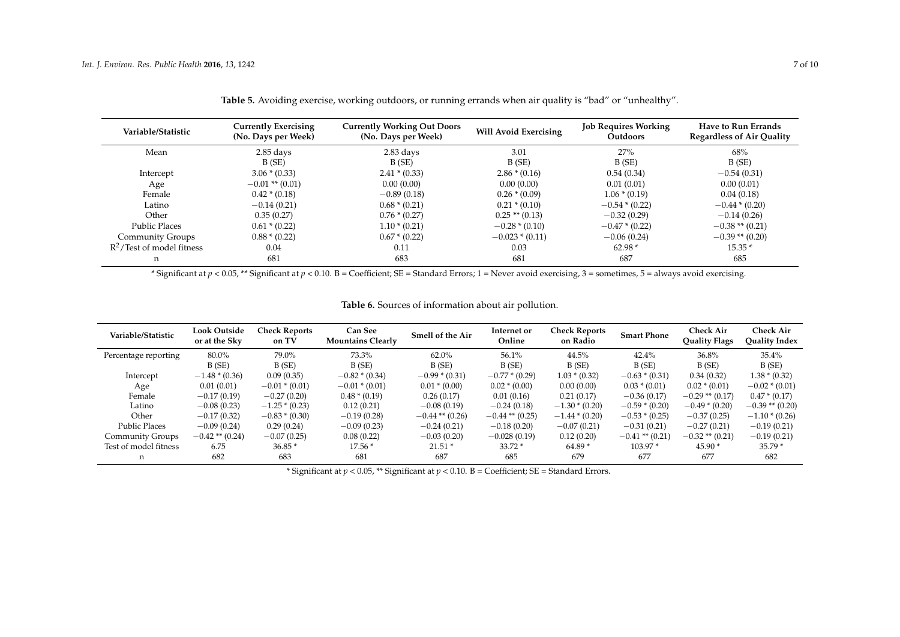| Variable/Statistic           | <b>Currently Exercising</b><br><b>Currently Working Out Doors</b><br>(No. Days per Week) |                 | <b>Will Avoid Exercising</b> | <b>Job Requires Working</b><br>Outdoors | <b>Have to Run Errands</b><br><b>Regardless of Air Quality</b> |  |
|------------------------------|------------------------------------------------------------------------------------------|-----------------|------------------------------|-----------------------------------------|----------------------------------------------------------------|--|
| Mean                         | $2.85$ days<br>$2.83$ days                                                               |                 | 3.01                         | 27%                                     | 68%                                                            |  |
|                              | B(SE)                                                                                    | B(SE)           | B(SE)                        | B(SE)                                   | B(SE)                                                          |  |
| Intercept                    | $3.06 * (0.33)$                                                                          | $2.41 * (0.33)$ | $2.86*(0.16)$                | 0.54(0.34)                              | $-0.54(0.31)$                                                  |  |
| Age                          | $-0.01$ ** (0.01)                                                                        | 0.00(0.00)      | 0.00(0.00)                   | 0.01(0.01)                              | 0.00(0.01)                                                     |  |
| Female                       | $0.42 * (0.18)$                                                                          | $-0.89(0.18)$   | $0.26 * (0.09)$              | $1.06*(0.19)$                           | 0.04(0.18)                                                     |  |
| Latino                       | $-0.14(0.21)$                                                                            | $0.68 * (0.21)$ | $0.21 * (0.10)$              | $-0.54*(0.22)$                          | $-0.44*(0.20)$                                                 |  |
| Other                        | 0.35(0.27)                                                                               | $0.76 * (0.27)$ | $0.25$ ** $(0.13)$           | $-0.32(0.29)$                           | $-0.14(0.26)$                                                  |  |
| <b>Public Places</b>         | $0.61 * (0.22)$                                                                          | $1.10*(0.21)$   | $-0.28*(0.10)$               | $-0.47*(0.22)$                          | $-0.38**$ (0.21)                                               |  |
| Community Groups             | $0.88 * (0.22)$                                                                          | $0.67 * (0.22)$ | $-0.023 * (0.11)$            | $-0.06(0.24)$                           | $-0.39**$ (0.20)                                               |  |
| $R^2$ /Test of model fitness | 0.04                                                                                     | 0.11            | 0.03                         | $62.98*$                                | $15.35*$                                                       |  |
| n                            | 681                                                                                      | 683             | 681                          | 687                                     | 685                                                            |  |

**Table 5.** Avoiding exercise, working outdoors, or running errands when air quality is "bad" or "unhealthy".

\* Significant at *p* < 0.05, \*\* Significant at *p* < 0.10. B = Coefficient; SE = Standard Errors; 1 = Never avoid exercising, 3 = sometimes, 5 = always avoid exercising.

**Table 6.** Sources of information about air pollution.

<span id="page-6-0"></span>

| Variable/Statistic    | <b>Look Outside</b><br>or at the Sky | <b>Check Reports</b><br>on TV | <b>Can See</b><br><b>Mountains Clearly</b> | Smell of the Air  | Internet or<br>Online | <b>Check Reports</b><br>on Radio | <b>Smart Phone</b> | <b>Check Air</b><br><b>Quality Flags</b> | <b>Check Air</b><br><b>Quality Index</b> |
|-----------------------|--------------------------------------|-------------------------------|--------------------------------------------|-------------------|-----------------------|----------------------------------|--------------------|------------------------------------------|------------------------------------------|
| Percentage reporting  | 80.0%                                | 79.0%                         | 73.3%                                      | $62.0\%$          | 56.1%                 | 44.5%                            | 42.4%              | 36.8%                                    | 35.4%                                    |
|                       | B(SE)                                | B(SE)                         | B(SE)                                      | B(SE)             | B(SE)                 | B(SE)                            | B(SE)              | B(SE)                                    | B(SE)                                    |
| Intercept             | $-1.48*(0.36)$                       | 0.09(0.35)                    | $-0.82*(0.34)$                             | $-0.99*(0.31)$    | $-0.77*(0.29)$        | $1.03 * (0.32)$                  | $-0.63*(0.31)$     | 0.34(0.32)                               | $1.38 * (0.32)$                          |
| Age                   | 0.01(0.01)                           | $-0.01 * (0.01)$              | $-0.01 * (0.01)$                           | $0.01 * (0.00)$   | $0.02 * (0.00)$       | 0.00(0.00)                       | $0.03 * (0.01)$    | $0.02 * (0.01)$                          | $-0.02*(0.01)$                           |
| Female                | $-0.17(0.19)$                        | $-0.27(0.20)$                 | $0.48 * (0.19)$                            | 0.26(0.17)        | 0.01(0.16)            | 0.21(0.17)                       | $-0.36(0.17)$      | $-0.29$ ** (0.17)                        | $0.47*(0.17)$                            |
| Latino                | $-0.08(0.23)$                        | $-1.25*(0.23)$                | 0.12(0.21)                                 | $-0.08(0.19)$     | $-0.24(0.18)$         | $-1.30*(0.20)$                   | $-0.59*(0.20)$     | $-0.49*(0.20)$                           | $-0.39$ ** (0.20)                        |
| Other                 | $-0.17(0.32)$                        | $-0.83*(0.30)$                | $-0.19(0.28)$                              | $-0.44$ ** (0.26) | $-0.44$ ** (0.25)     | $-1.44*(0.20)$                   | $-0.53*(0.25)$     | $-0.37(0.25)$                            | $-1.10*(0.26)$                           |
| <b>Public Places</b>  | $-0.09(0.24)$                        | 0.29(0.24)                    | $-0.09(0.23)$                              | $-0.24(0.21)$     | $-0.18(0.20)$         | $-0.07(0.21)$                    | $-0.31(0.21)$      | $-0.27(0.21)$                            | $-0.19(0.21)$                            |
| Community Groups      | $-0.42$ ** (0.24)                    | $-0.07(0.25)$                 | 0.08(0.22)                                 | $-0.03(0.20)$     | $-0.028(0.19)$        | 0.12(0.20)                       | $-0.41$ ** (0.21)  | $-0.32$ ** (0.21)                        | $-0.19(0.21)$                            |
| Test of model fitness | 6.75                                 | $36.85*$                      | $17.56*$                                   | $21.51*$          | $33.72*$              | $64.89*$                         | 103.97 *           | $45.90*$                                 | $35.79*$                                 |
| n                     | 682                                  | 683                           | 681                                        | 687               | 685                   | 679                              | 677                | 677                                      | 682                                      |

<span id="page-6-1"></span>\* Significant at *p* < 0.05, \*\* Significant at *p* < 0.10. B = Coefficient; SE = Standard Errors.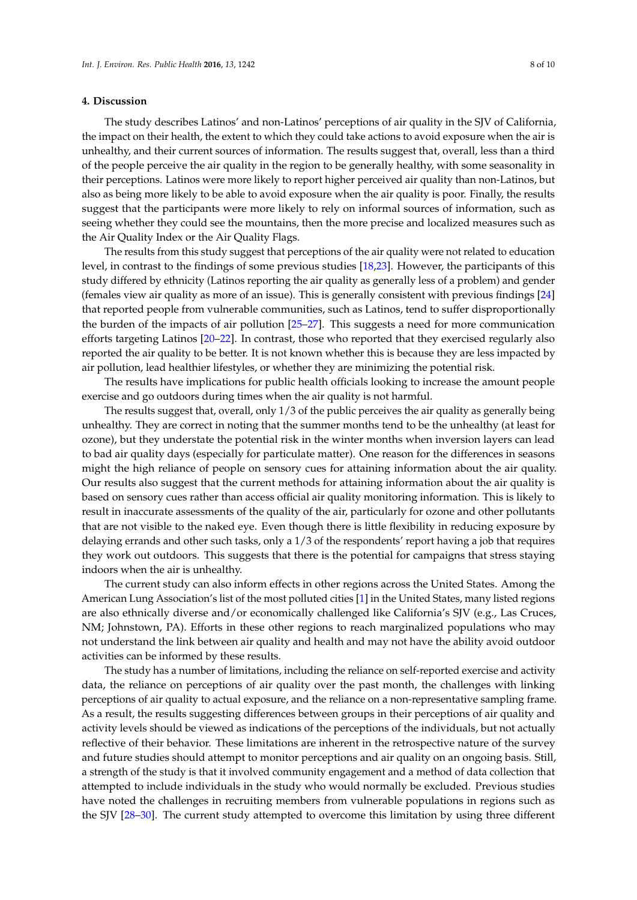## **4. Discussion**

The study describes Latinos' and non-Latinos' perceptions of air quality in the SJV of California, the impact on their health, the extent to which they could take actions to avoid exposure when the air is unhealthy, and their current sources of information. The results suggest that, overall, less than a third of the people perceive the air quality in the region to be generally healthy, with some seasonality in their perceptions. Latinos were more likely to report higher perceived air quality than non-Latinos, but also as being more likely to be able to avoid exposure when the air quality is poor. Finally, the results suggest that the participants were more likely to rely on informal sources of information, such as seeing whether they could see the mountains, then the more precise and localized measures such as the Air Quality Index or the Air Quality Flags.

The results from this study suggest that perceptions of the air quality were not related to education level, in contrast to the findings of some previous studies [\[18](#page-9-0)[,23\]](#page-9-4). However, the participants of this study differed by ethnicity (Latinos reporting the air quality as generally less of a problem) and gender (females view air quality as more of an issue). This is generally consistent with previous findings [\[24\]](#page-9-5) that reported people from vulnerable communities, such as Latinos, tend to suffer disproportionally the burden of the impacts of air pollution [\[25–](#page-9-6)[27\]](#page-9-7). This suggests a need for more communication efforts targeting Latinos [\[20–](#page-9-2)[22\]](#page-9-3). In contrast, those who reported that they exercised regularly also reported the air quality to be better. It is not known whether this is because they are less impacted by air pollution, lead healthier lifestyles, or whether they are minimizing the potential risk.

The results have implications for public health officials looking to increase the amount people exercise and go outdoors during times when the air quality is not harmful.

The results suggest that, overall, only 1/3 of the public perceives the air quality as generally being unhealthy. They are correct in noting that the summer months tend to be the unhealthy (at least for ozone), but they understate the potential risk in the winter months when inversion layers can lead to bad air quality days (especially for particulate matter). One reason for the differences in seasons might the high reliance of people on sensory cues for attaining information about the air quality. Our results also suggest that the current methods for attaining information about the air quality is based on sensory cues rather than access official air quality monitoring information. This is likely to result in inaccurate assessments of the quality of the air, particularly for ozone and other pollutants that are not visible to the naked eye. Even though there is little flexibility in reducing exposure by delaying errands and other such tasks, only a 1/3 of the respondents' report having a job that requires they work out outdoors. This suggests that there is the potential for campaigns that stress staying indoors when the air is unhealthy.

The current study can also inform effects in other regions across the United States. Among the American Lung Association's list of the most polluted cities [\[1\]](#page-8-0) in the United States, many listed regions are also ethnically diverse and/or economically challenged like California's SJV (e.g., Las Cruces, NM; Johnstown, PA). Efforts in these other regions to reach marginalized populations who may not understand the link between air quality and health and may not have the ability avoid outdoor activities can be informed by these results.

The study has a number of limitations, including the reliance on self-reported exercise and activity data, the reliance on perceptions of air quality over the past month, the challenges with linking perceptions of air quality to actual exposure, and the reliance on a non-representative sampling frame. As a result, the results suggesting differences between groups in their perceptions of air quality and activity levels should be viewed as indications of the perceptions of the individuals, but not actually reflective of their behavior. These limitations are inherent in the retrospective nature of the survey and future studies should attempt to monitor perceptions and air quality on an ongoing basis. Still, a strength of the study is that it involved community engagement and a method of data collection that attempted to include individuals in the study who would normally be excluded. Previous studies have noted the challenges in recruiting members from vulnerable populations in regions such as the SJV [\[28](#page-9-8)[–30\]](#page-9-9). The current study attempted to overcome this limitation by using three different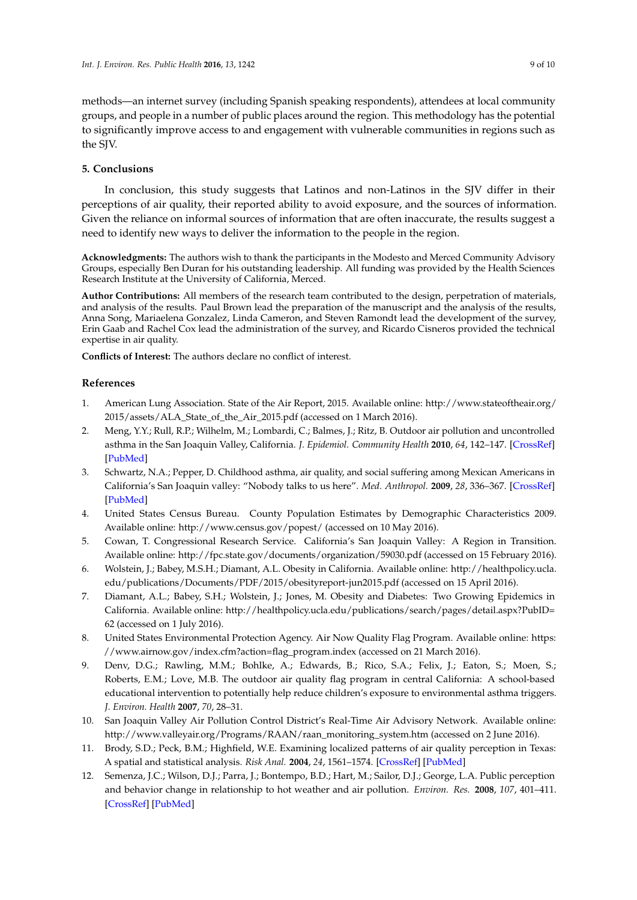methods—an internet survey (including Spanish speaking respondents), attendees at local community groups, and people in a number of public places around the region. This methodology has the potential to significantly improve access to and engagement with vulnerable communities in regions such as the SJV.

# **5. Conclusions**

In conclusion, this study suggests that Latinos and non-Latinos in the SJV differ in their perceptions of air quality, their reported ability to avoid exposure, and the sources of information. Given the reliance on informal sources of information that are often inaccurate, the results suggest a need to identify new ways to deliver the information to the people in the region.

**Acknowledgments:** The authors wish to thank the participants in the Modesto and Merced Community Advisory Groups, especially Ben Duran for his outstanding leadership. All funding was provided by the Health Sciences Research Institute at the University of California, Merced.

**Author Contributions:** All members of the research team contributed to the design, perpetration of materials, and analysis of the results. Paul Brown lead the preparation of the manuscript and the analysis of the results, Anna Song, Mariaelena Gonzalez, Linda Cameron, and Steven Ramondt lead the development of the survey, Erin Gaab and Rachel Cox lead the administration of the survey, and Ricardo Cisneros provided the technical expertise in air quality.

**Conflicts of Interest:** The authors declare no conflict of interest.

# **References**

- <span id="page-8-0"></span>1. American Lung Association. State of the Air Report, 2015. Available online: [http://www.stateoftheair.org/](http://www.stateoftheair.org/2015/assets/ALA_State_of_the_Air_2015.pdf) [2015/assets/ALA\\_State\\_of\\_the\\_Air\\_2015.pdf](http://www.stateoftheair.org/2015/assets/ALA_State_of_the_Air_2015.pdf) (accessed on 1 March 2016).
- <span id="page-8-1"></span>2. Meng, Y.Y.; Rull, R.P.; Wilhelm, M.; Lombardi, C.; Balmes, J.; Ritz, B. Outdoor air pollution and uncontrolled asthma in the San Joaquin Valley, California. *J. Epidemiol. Community Health* **2010**, *64*, 142–147. [\[CrossRef\]](http://dx.doi.org/10.1136/jech.2009.083576) [\[PubMed\]](http://www.ncbi.nlm.nih.gov/pubmed/20056967)
- <span id="page-8-2"></span>3. Schwartz, N.A.; Pepper, D. Childhood asthma, air quality, and social suffering among Mexican Americans in California's San Joaquin valley: "Nobody talks to us here". *Med. Anthropol.* **2009**, *28*, 336–367. [\[CrossRef\]](http://dx.doi.org/10.1080/01459740903303944) [\[PubMed\]](http://www.ncbi.nlm.nih.gov/pubmed/20182969)
- <span id="page-8-3"></span>4. United States Census Bureau. County Population Estimates by Demographic Characteristics 2009. Available online: <http://www.census.gov/popest/> (accessed on 10 May 2016).
- <span id="page-8-4"></span>5. Cowan, T. Congressional Research Service. California's San Joaquin Valley: A Region in Transition. Available online: <http://fpc.state.gov/documents/organization/59030.pdf> (accessed on 15 February 2016).
- <span id="page-8-5"></span>6. Wolstein, J.; Babey, M.S.H.; Diamant, A.L. Obesity in California. Available online: [http://healthpolicy.ucla.](http://healthpolicy.ucla.edu/publications/Documents/PDF/2015/obesityreport-jun2015.pdf) [edu/publications/Documents/PDF/2015/obesityreport-jun2015.pdf](http://healthpolicy.ucla.edu/publications/Documents/PDF/2015/obesityreport-jun2015.pdf) (accessed on 15 April 2016).
- <span id="page-8-6"></span>7. Diamant, A.L.; Babey, S.H.; Wolstein, J.; Jones, M. Obesity and Diabetes: Two Growing Epidemics in California. Available online: [http://healthpolicy.ucla.edu/publications/search/pages/detail.aspx?PubID=](http://healthpolicy.ucla.edu/publications/search/pages/detail.aspx?PubID=62) [62](http://healthpolicy.ucla.edu/publications/search/pages/detail.aspx?PubID=62) (accessed on 1 July 2016).
- <span id="page-8-7"></span>8. United States Environmental Protection Agency. Air Now Quality Flag Program. Available online: [https:](https://www.airnow.gov/index.cfm?action=flag_program.index) [//www.airnow.gov/index.cfm?action=flag\\_program.index](https://www.airnow.gov/index.cfm?action=flag_program.index) (accessed on 21 March 2016).
- <span id="page-8-8"></span>9. Denv, D.G.; Rawling, M.M.; Bohlke, A.; Edwards, B.; Rico, S.A.; Felix, J.; Eaton, S.; Moen, S.; Roberts, E.M.; Love, M.B. The outdoor air quality flag program in central California: A school-based educational intervention to potentially help reduce children's exposure to environmental asthma triggers. *J. Environ. Health* **2007**, *70*, 28–31.
- <span id="page-8-9"></span>10. San Joaquin Valley Air Pollution Control District's Real-Time Air Advisory Network. Available online: [http://www.valleyair.org/Programs/RAAN/raan\\_monitoring\\_system.htm](http://www.valleyair.org/Programs/RAAN/raan_monitoring_system.htm) (accessed on 2 June 2016).
- <span id="page-8-10"></span>11. Brody, S.D.; Peck, B.M.; Highfield, W.E. Examining localized patterns of air quality perception in Texas: A spatial and statistical analysis. *Risk Anal.* **2004**, *24*, 1561–1574. [\[CrossRef\]](http://dx.doi.org/10.1111/j.0272-4332.2004.00550.x) [\[PubMed\]](http://www.ncbi.nlm.nih.gov/pubmed/15660612)
- 12. Semenza, J.C.; Wilson, D.J.; Parra, J.; Bontempo, B.D.; Hart, M.; Sailor, D.J.; George, L.A. Public perception and behavior change in relationship to hot weather and air pollution. *Environ. Res.* **2008**, *107*, 401–411. [\[CrossRef\]](http://dx.doi.org/10.1016/j.envres.2008.03.005) [\[PubMed\]](http://www.ncbi.nlm.nih.gov/pubmed/18466894)